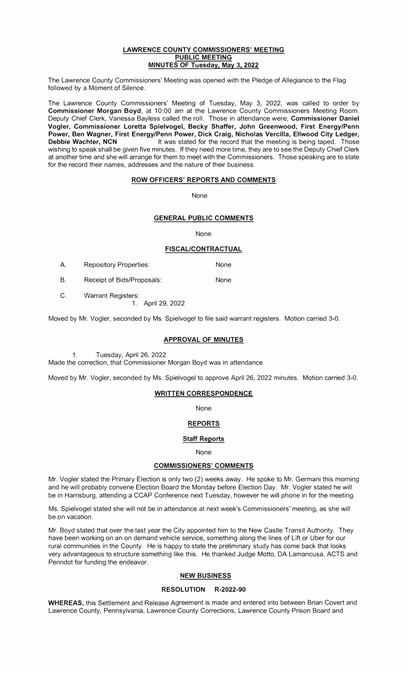#### **LAWRENCE COUNTY COMMISSIONERS' MEETING PUBLIC MEETING MINUTES OF Tuesday, May 3, 2022**

The Lawrence County Commissioners' Meeting was opened with the Pledge of Allegiance to the Flag followed by a Moment of Silence.

The Lawrence County Commissioners' Meeting of Tuesday, May 3, 2022, was called to order by **Commissioner Morgan Boyd,** at 10:00 am at the Lawrence County Commissioners Meeting Room. Deputy Chief Clerk, Vanessa Bayless called the roll. Those in attendance were, **Commissioner Daniel Vogler, Commissioner Loretta Spielvogel, Becky Shaffer, John Greenwood, First Energy/Penn Power, Ben Wagner, First Energy/Penn Power, Dick Craig, Nicholas Vercilla, Ellwood City Ledger,**  It was stated for the record that the meeting is being taped. Those wishing to speak shall be given five minutes. If they need more time, they are to see the Deputy Chief Clerk at another time and she will arrange for them to meet with the Commissioners. Those speaking are to state for the record their names, addresses and the nature of their business.

### **ROW OFFICERS' REPORTS AND COMMENTS**

None

### **GENERAL PUBLIC COMMENTS**

None

### **FISCAL/CONTRACTUAL**

| A. | <b>Repository Properties:</b> | None |
|----|-------------------------------|------|
|    | Receipt of Bids/Proposals:    | None |

C. Warrant Registers:

1. April 29, 2022

Moved by Mr. Vogler, seconded by Ms. Spielvogel to file said warrant registers. Motion carried 3-0.

#### **APPROVAL OF MINUTES**

1.Tuesday, April 26, 2022

Made the correction, that Commissioner Morgan Boyd was in attendance.

Moved by Mr. Vogler, seconded by Ms. Spielvogel to approve April 26, 2022 minutes. Motion carried 3-0.

### **WRITTEN CORRESPONDENCE**

None

# **REPORTS**

#### **Staff Reports**

#### None

#### **COMMISSIONERS' COMMENTS**

Mr. Vogler stated the Primary Election is only two (2) weeks away. He spoke to Mr. Germani this morning and he will probably convene Election Board the Monday before Election Day. Mr. Vogler stated he will be in Harrisburg, attending a CCAP Conference next Tuesday, however he will phone in for the meeting.

Ms. Spielvogel stated she will not be in attendance at next week's Commissioners' meeting, as she will be on vacation.

Mr. Boyd stated that over the last year the City appointed him to the New Castle Transit Authority. They have been working on an on demand vehicle service, something along the lines of Lift or Uber for our rural communities in the County. He is happy to state the preliminary study has come back that looks very advantageous to structure something like this. He thanked Judge Motto, DA Lamancusa, ACTS and Penndot for funding the endeavor.

#### **. NEW BUSINESS**

#### **RESOLUTION R-2022-90**

**WHEREAS,** this Settlement and Release Agreement is made and entered into between Brian Covert and Lawrence County, Pennsylvania, Lawrence County Corrections, Lawrence County Prison Board and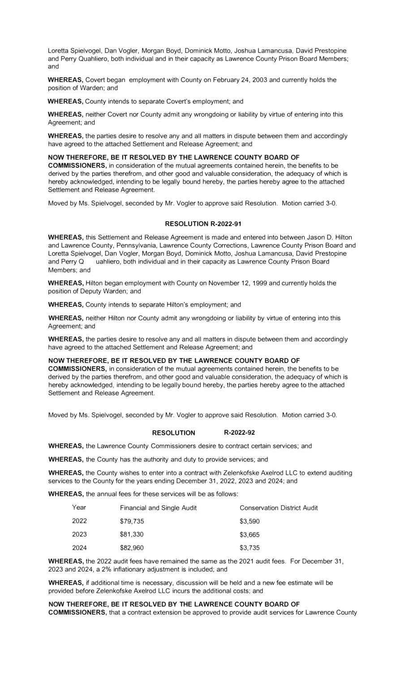Loretta Spielvogel, Dan Vogler, Morgan Boyd, Dominick Motto, Joshua Lamancusa, David Prestopine and Perry Quahliero, both individual and in their capacity as Lawrence County Prison Board Members; and

**WHEREAS,** Covert began employment with County on February 24, 2003 and currently holds the position of Warden; and

**WHEREAS,** County intends to separate Covert's employment; and

**WHEREAS,** neither Covert nor County admit any wrongdoing or liability by virtue of entering into this Agreement; and

**WHEREAS,** the parties desire to resolve any and all matters in dispute between them and accordingly have agreed to the attached Settlement and Release Agreement; and

#### **NOW THEREFORE, BE IT RESOLVED BY THE LAWRENCE COUNTY BOARD OF**

**COMMISSIONERS,** in consideration of the mutual agreements contained herein, the benefits to be derived by the parties therefrom, and other good and valuable consideration, the adequacy of which is hereby acknowledged, intending to be legally bound hereby, the parties hereby agree to the attached Settlement and Release Agreement.

Moved by Ms. Spielvogel, seconded by Mr. Vogler to approve said Resolution. Motion carried 3-0.

#### **RESOLUTION R-2022-91**

**WHEREAS,** this Settlement and Release Agreement is made and entered into between Jason D. Hilton and Lawrence County, Pennsylvania, Lawrence County Corrections, Lawrence County Prison Board and Loretta Spielvogel, Dan Vogler, Morgan Boyd, Dominick Motto, Joshua Lamancusa, David Prestopine and Perry Q uahliero, both individual and in their capacity as Lawrence County Prison Board Members; and

**WHEREAS,** Hilton began employment with County on November 12, 1999 and currently holds the position of Deputy Warden; and

**WHEREAS,** County intends to separate Hilton's employment; and

**WHEREAS,** neither Hilton nor County admit any wrongdoing or liability by virtue of entering into this Agreement; and

**WHEREAS,** the parties desire to resolve any and all matters in dispute between them and accordingly have agreed to the attached Settlement and Release Agreement; and

#### **NOW THEREFORE, BE IT RESOLVED BY THE LAWRENCE COUNTY BOARD OF**

**COMMISSIONERS,** in consideration of the mutual agreements contained herein, the benefits to be derived by the parties therefrom, and other good and valuable consideration, the adequacy of which is hereby acknowledged, intending to be legally bound hereby, the parties hereby agree to the attached Settlement and Release Agreement.

Moved by Ms. Spielvogel, seconded by Mr. Vogler to approve said Resolution. Motion carried 3-0.

#### **RESOLUTION R-2022-92**

**WHEREAS,** the Lawrence County Commissioners desire to contract certain services; and

**WHEREAS,** the County has the authority and duty to provide services; and

**WHEREAS,** the County wishes to enter into a contract with Zelenkofske Axelrod LLC to extend auditing services to the County for the years ending December 31, 2022, 2023 and 2024; and

**WHEREAS,** the annual fees for these services will be as follows:

| Year | <b>Financial and Single Audit</b> | <b>Conservation District Audit</b> |
|------|-----------------------------------|------------------------------------|
| 2022 | \$79,735                          | \$3,590                            |
| 2023 | \$81,330                          | \$3,665                            |
| 2024 | \$82,960                          | \$3,735                            |

**WHEREAS,** the 2022 audit fees have remained the same as the 2021 audit fees. For December 31, 2023 and 2024, a 2% inflationary adjustment is included; and

**WHEREAS,** if additional time is necessary, discussion will be held and a new fee estimate will be provided before Zelenkofske Axelrod LLC incurs the additional costs; and

**NOW THEREFORE, BE IT RESOLVED BY THE LAWRENCE COUNTY BOARD OF COMMISSIONERS,** that a contract extension be approved to provide audit services for Lawrence County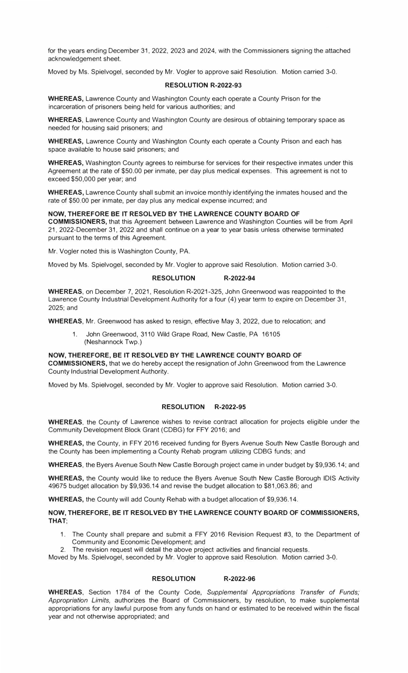for the years ending December 31, 2022, 2023 and 2024, with the Commissioners signing the attached acknowledgement sheet.

Moved by Ms. Spielvogel, seconded by Mr. Vogler to approve said Resolution. Motion carried 3-0.

#### **RESOLUTION R-2022-93**

**WHEREAS,** Lawrence County and Washington County each operate a County Prison for the incarceration of prisoners being held for various authorities; and

**WHEREAS,** Lawrence County and Washington County are desirous of obtaining temporary space as needed for housing said prisoners; and

**WHEREAS,** Lawrence County and Washington County each operate a County Prison and each has space available to house said prisoners; and

**WHEREAS,** Washington County agrees to reimburse for services for their respective inmates under this Agreement at the rate of \$50.00 per inmate, per day plus medical expenses. This agreement is not to exceed \$50,000 per year; and

**WHEREAS,** Lawrence County shall submit an invoice monthly identifying the inmates housed and the rate of \$50.00 per inmate, per day plus any medical expense incurred; and

#### **NOW, THEREFORE BE IT RESOLVED BY THE LAWRENCE COUNTY BOARD OF**

**COMMISSIONERS,** that this Agreement between Lawrence and Washington Counties will be from April 21, 2022-December 31, 2022 and shall continue on a year to year basis unless otherwise terminated pursuant to the terms of this Agreement.

Mr. Vogler noted this is Washington County, PA.

Moved by Ms. Spielvogel, seconded by Mr. Vogler to approve said Resolution. Motion carried 3-0.

#### **RESOLUTION R-2022-94**

**WHEREAS,** on December 7, 2021, Resolution R-2021-325, John Greenwood was reappointed to the Lawrence County Industrial Development Authority for a four (4) year term to expire on December 31, 2025;and

**WHEREAS,** Mr. Greenwood has asked to resign, effective May 3, 2022, due to relocation; and

1. John Greenwood, 3110 Wild Grape Road, New Castle, PA 16105 (Neshannock Twp.)

**NOW, THEREFORE, BE IT RESOLVED BY THE LAWRENCE COUNTY BOARD OF** 

**COMMISSIONERS,** that we do hereby accept the resignation of John Greenwood from the Lawrence County Industrial Development Authority.

Moved by Ms. Spielvogel, seconded by Mr. Vogler to approve said Resolution. Motion carried 3-0.

### **RESOLUTION R-2022-95**

**WHEREAS,** the County of Lawrence wishes to revise contract allocation for projects eligible under the Community Development Block Grant (CDBG) for FFY 2016; and

**WHEREAS,** the County, in FFY 2016 received funding for Byers Avenue South New Castle Borough and the County has been implementing a County Rehab program utilizing CDBG funds; and

**WHEREAS,** the Byers Avenue South New Castle Borough project came in under budget by \$9,936.14; and

**WHEREAS,** the County would like to reduce the Byers Avenue South New Castle Borough IDIS Activity 49675 budget allocation by \$9,936.14 and revise the budget allocation to \$81,063.86; and

**WHEREAS,** the County will add County Rehab with a budget allocation of \$9,936.14.

#### **NOW, THEREFORE, BE IT RESOLVED BY THE LAWRENCE COUNTY BOARD OF COMMISSIONERS, THAT;**

- 1. The County shall prepare and submit a FFY 2016 Revision Request #3, to the Department of Community and Economic Development; and
- 2. The revision request will detail the above project activities and financial requests.

Moved by Ms. Spielvogel, seconded by Mr. Vogler to approve said Resolution. Motion carried 3-0.

#### **RESOLUTION R-2022-96**

**WHEREAS,** Section 1784 of the County Code, *Supplemental Appropriations Transfer of Funds; Appropriation Limits,* authorizes the Board of Commissioners, by resolution, to make supplemental appropriations for any lawful purpose from any funds on hand or estimated to be received within the fiscal year and not otherwise appropriated; and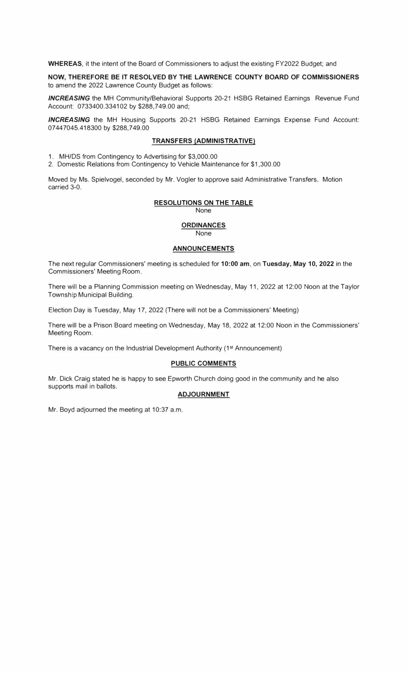**WHEREAS,** it the intent of the Board of Commissioners to adjust the existing FY2022 Budget; and

**NOW, THEREFORE BE IT RESOLVED BY THE LAWRENCE COUNTY BOARD OF COMMISSIONERS**  to amend the 2022 Lawrence County Budget as follows:

**INCREASING** the MH Community/Behavioral Supports 20-21 HSBG Retained Earnings Revenue Fund Account: 0733400.334102 by \$288,749.00 and;

**INCREASING** the MH Housing Supports 20-21 HSBG Retained Earnings Expense Fund Account: 07 44 7045.418300 by \$288,749.00

#### **TRANSFERS (ADMINISTRATIVE)**

1. MH/DS from Contingency to Advertising for \$3,000.00

2. Domestic Relations from Contingency to Vehicle Maintenance for \$1,300.00

Moved by Ms. Spielvogel, seconded by Mr. Vogler to approve said Administrative Transfers. Motion carried 3-0.

# **RESOLUTIONS ON THE TABLE**

None

#### **ORDINANCES**  None

## **ANNOUNCEMENTS**

The next regular Commissioners' meeting is scheduled for **10:00 am,** on **Tuesday, May 10, 2022** in the Commissioners' Meeting Room.

There will be a Planning Commission meeting on Wednesday, May 11, 2022 at 12:00 Noon at the Taylor Township Municipal Building.

Election Day is Tuesday, May 17, 2022 (There will not be a Commissioners' Meeting)

There will be a Prison Board meeting on Wednesday, May 18, 2022 at 12:00 Noon in the Commissioners' Meeting Room.

There is a vacancy on the Industrial Development Authority (1<sup>st</sup> Announcement)

# **PUBLIC COMMENTS**

Mr. Dick Craig stated he is happy to see Epworth Church doing good in the community and he also supports mail in ballots.

# **ADJOURNMENT**

Mr. Boyd adjourned the meeting at 10:37 a.m.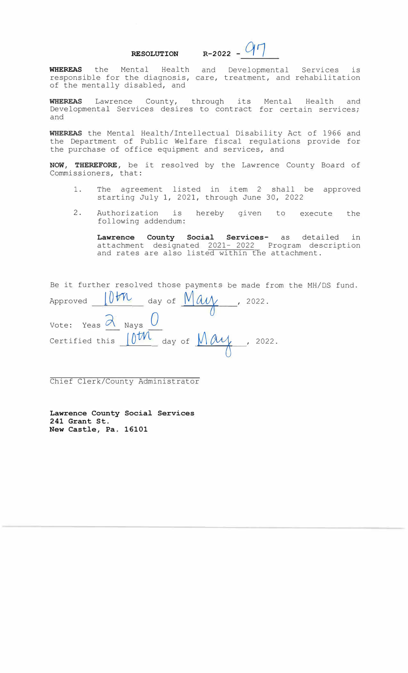**RESOLUTION R-2022 -** *q rJ* 

**WHEREAS** the Mental Health and Developmental Services is responsible for the diagnosis, care, treatment, and rehabilitation of the mentally disabled, and

**WHEREAS** Lawrence County, through its Mental Health and Developmental Services desires to contract for certain services; and

**WHEREAS** the Mental Health/Intellectual Disability Act of 1966 and the Department of Public Welfare fiscal regulations provide for the purchase of office equipment and services, and

**NOW, THEREFORE,** be it resolved by the Lawrence County Board of Commissioners, that:

- 1. The agreement listed in item 2 shall be approved starting July 1, 2021, through June 30, 2022
- 2. Authorization is following addendum: hereby given to execute the

**Lawrence County Social Services-** as detailed in attachment designated 2021- 2022 Program description and rates are also listed within the attachment.

| Be it further resolved those payments be made from the MH/DS fund.                                                           |  |
|------------------------------------------------------------------------------------------------------------------------------|--|
| Approved $10$ th day of $Mau$ , 2022.                                                                                        |  |
| Vote: Yeas $\alpha$ Nays $\theta$<br>Certified this $\int_0^{\infty} \rho dA$ day of $\int_0^{\infty} \rho A \rho A$ , 2022. |  |

Chief Clerk/County Administrator

**Lawrence County Social Services 241 Grant St. New Castle, Pa. 16101**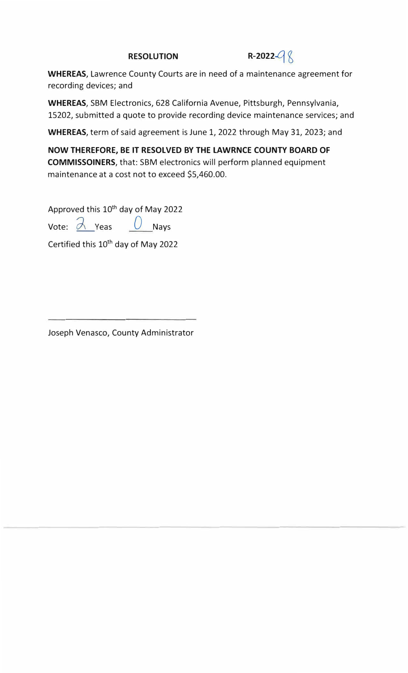# **RESOLUTION** R-2022- $\left( \begin{matrix} 0 & 0 \\ 0 & 0 \end{matrix} \right)$

**WHEREAS,** Lawrence County Courts are in need of a maintenance agreement for recording devices; and

**WHEREAS,** SBM Electronics, 628 California Avenue, Pittsburgh, Pennsylvania, 15202, submitted a quote to provide recording device maintenance services; and

**WHEREAS,** term of said agreement is June 1, 2022 through May 31, 2023; and

**NOW THEREFORE, BE IT RESOLVED BY THE LAWRNCE COUNTY BOARD OF COMMISSOINERS,** that: SBM electronics will perform planned equipment maintenance at a cost not to exceed \$5,460.00.

Approved this 10<sup>th</sup> day of May 2022

Vote:  $\frac{\partial}{\partial x}$  Yeas  $\frac{\partial}{\partial y}$  Nays

Certified this 10<sup>th</sup> day of May 2022

Joseph Venasco, County Administrator